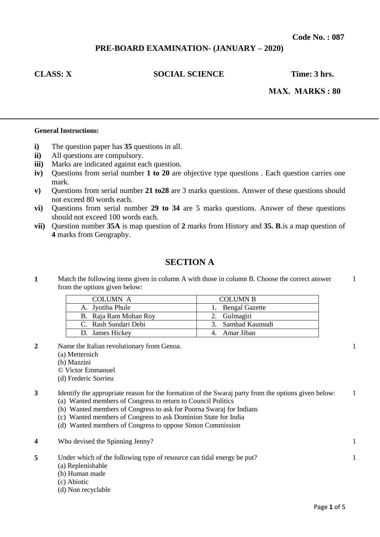# **PRE-BOARD EXAMINATION- (JANUARY – 2020)**

# **CLASS: X** SOCIAL SCIENCE Time: 3 hrs.

 **MAX. MARKS : 80** 

## **General Instructions:**

- **i)** The question paper has **35** questions in all.
- **ii)** All questions are compulsory.
- **iii)** Marks are indicated against each question.
- **iv)** Questions from serial number **1 to 20** are objective type questions . Each question carries one mark.
- **v)** Questions from serial number **21 to28** are 3 marks questions. Answer of these questions should not exceed 80 words each.
- **vi)** Questions from serial number **29 to 34** are 5 marks questions. Answer of these questions should not exceed 100 words each.
- **vii)** Question number **35A** is map question of **2** marks from History and **35. B**.is a map question of **4** marks from Geography.

# **SECTION A**

**1** Match the following items given in column A with those in column B. Choose the correct answer from the options given below:

| COLUMN A              | <b>COLUMN B</b>   |
|-----------------------|-------------------|
| A. Jyotiba Phule      | 1. Bengal Gazette |
| B. Raja Ram Mohan Roy | 2. Gulmagiri      |
| C. Rash Sundari Debi  | 3. Sambad Kaumudi |
| D. James Hickey       | 4. Amar Jiban     |

- **2** Name the Italian revolutionary from Genoa.
	- (a) Metternich
	- (b) Mazzini
	- © Victor Emmanuel
	- (d) Frederic Sorrieu

**3** Identify the appropriate reason for the formation of the Swaraj party from the options given below: (a) Wanted members of Congress to return to Council Politics 1

- (b) Wanted members of Congress to ask for Poorna Swaraj for Indians
- (c) Wanted members of Congress to ask Dominion State for India
- (d) Wanted members of Congress to oppose Simon Commission
- **4** Who devised the Spinning Jenny? 1
- **5** Under which of the following type of resource can tidal energy be put? (a) Replenishable
	- (b) Human made
	- (c) Abiotic
	- (d) Non recyclable

1

1

1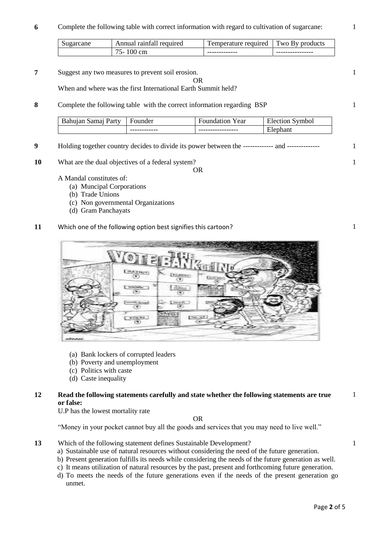**6** Complete the following table with correct information with regard to cultivation of sugarcane:

| Sugarcane | raintall<br>Annual<br>required             | <b>m</b><br>required<br>emperature | m<br>WO.<br><i>nroducts</i><br>KV<br>◡ |
|-----------|--------------------------------------------|------------------------------------|----------------------------------------|
|           | $ -$<br>$\mathrm{cm}$<br>$\mathbf{v}$<br>ັ | -------------                      | ----------------                       |

OR

**7** Suggest any two measures to prevent soil erosion.

When and where was the first International Earth Summit held?

**8** Complete the following table with the correct information regarding BSP

| Party<br>samai<br>ur v | ounder       | Y ear<br>ωn<br>$\alpha$<br>таз | $\mathbf{r}$<br>vmbol<br>Election |
|------------------------|--------------|--------------------------------|-----------------------------------|
|                        | ------------ | -----------------              | ant<br>P<br>⊷                     |

- **9** Holding together country decides to divide its power between the ------------- and -------------- 1
- **10** What are the dual objectives of a federal system?

OR

- A Mandal constitutes of:
	- (a) Muncipal Corporations
	- (b) Trade Unions
	- (c) Non governmental Organizations
	- (d) Gram Panchayats

# **11** Which one of the following option best signifies this cartoon?



- (a) Bank lockers of corrupted leaders
- (b) Poverty and unemployment
- (c) Politics with caste
- (d) Caste inequality

# **12 Read the following statements carefully and state whether the following statements are true or false:**

U.P has the lowest mortality rate

OR

"Money in your pocket cannot buy all the goods and services that you may need to live well."

- **13** Which of the following statement defines Sustainable Development?
	- a) Sustainable use of natural resources without considering the need of the future generation.
	- b) Present generation fulfills its needs while considering the needs of the future generation as well.
	- c) It means utilization of natural resources by the past, present and forthcoming future generation.
	- d) To meets the needs of the future generations even if the needs of the present generation go unmet.

1

1

1

1

1

1

1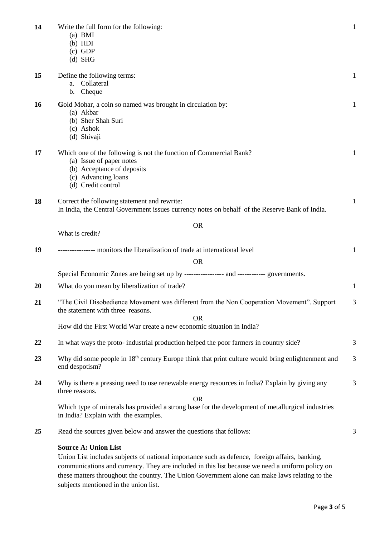| 14 | Write the full form for the following:<br>$(a)$ BMI<br>(b) HDI<br>$(c)$ GDP<br>$(d)$ SHG                                                                                                                                                                                                                                           | $\mathbf{1}$ |
|----|------------------------------------------------------------------------------------------------------------------------------------------------------------------------------------------------------------------------------------------------------------------------------------------------------------------------------------|--------------|
| 15 | Define the following terms:<br>Collateral<br>a.<br>Cheque<br>b.                                                                                                                                                                                                                                                                    | $\mathbf{1}$ |
| 16 | Gold Mohar, a coin so named was brought in circulation by:<br>(a) Akbar<br>(b) Sher Shah Suri<br>(c) Ashok<br>(d) Shivaji                                                                                                                                                                                                          | 1            |
| 17 | Which one of the following is not the function of Commercial Bank?<br>(a) Issue of paper notes<br>(b) Acceptance of deposits<br>(c) Advancing loans<br>(d) Credit control                                                                                                                                                          | 1            |
| 18 | Correct the following statement and rewrite:<br>In India, the Central Government issues currency notes on behalf of the Reserve Bank of India.                                                                                                                                                                                     | 1            |
|    | <b>OR</b>                                                                                                                                                                                                                                                                                                                          |              |
|    | What is credit?                                                                                                                                                                                                                                                                                                                    |              |
| 19 | ------------ monitors the liberalization of trade at international level                                                                                                                                                                                                                                                           | $\mathbf{1}$ |
|    | <b>OR</b>                                                                                                                                                                                                                                                                                                                          |              |
|    | Special Economic Zones are being set up by ----------------- and ------------ governments.                                                                                                                                                                                                                                         |              |
| 20 | What do you mean by liberalization of trade?                                                                                                                                                                                                                                                                                       | $\mathbf{1}$ |
| 21 | "The Civil Disobedience Movement was different from the Non Cooperation Movement". Support<br>the statement with three reasons.                                                                                                                                                                                                    | 3            |
|    | <b>OR</b><br>How did the First World War create a new economic situation in India?                                                                                                                                                                                                                                                 |              |
| 22 | In what ways the proto-industrial production helped the poor farmers in country side?                                                                                                                                                                                                                                              | 3            |
| 23 | Why did some people in 18 <sup>th</sup> century Europe think that print culture would bring enlightenment and<br>end despotism?                                                                                                                                                                                                    | 3            |
| 24 | Why is there a pressing need to use renewable energy resources in India? Explain by giving any<br>three reasons.<br><b>OR</b>                                                                                                                                                                                                      | 3            |
|    | Which type of minerals has provided a strong base for the development of metallurgical industries<br>in India? Explain with the examples.                                                                                                                                                                                          |              |
| 25 | Read the sources given below and answer the questions that follows:                                                                                                                                                                                                                                                                | 3            |
|    | <b>Source A: Union List</b><br>Union List includes subjects of national importance such as defence, foreign affairs, banking,<br>communications and currency. They are included in this list because we need a uniform policy on<br>these matters throughout the country. The Union Government alone can make laws relating to the |              |

subjects mentioned in the union list.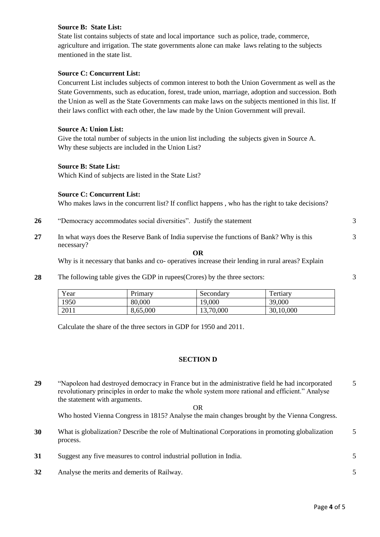# **Source B: State List:**

State list contains subjects of state and local importance such as police, trade, commerce, agriculture and irrigation. The state governments alone can make laws relating to the subjects mentioned in the state list.

# **Source C: Concurrent List:**

Concurrent List includes subjects of common interest to both the Union Government as well as the State Governments, such as education, forest, trade union, marriage, adoption and succession. Both the Union as well as the State Governments can make laws on the subjects mentioned in this list. If their laws conflict with each other, the law made by the Union Government will prevail.

## **Source A: Union List:**

Give the total number of subjects in the union list including the subjects given in Source A. Why these subjects are included in the Union List?

## **Source B: State List:**

Which Kind of subjects are listed in the State List?

## **Source C: Concurrent List:**

Who makes laws in the concurrent list? If conflict happens , who has the right to take decisions?

- **26** "Democracy accommodates social diversities". Justify the statement 3
- **27** In what ways does the Reserve Bank of India supervise the functions of Bank? Why is this necessary?

#### **OR**

Why is it necessary that banks and co- operatives increase their lending in rural areas? Explain

**28** The following table gives the GDP in rupees(Crores) by the three sectors:

| $v_{\text{ear}}$ | Primary  | Secondary | $\mathbf{r}$<br>ertiary |
|------------------|----------|-----------|-------------------------|
| 1950             | 80,000   | 19,000    | 39,000                  |
| 2011             | 8,65,000 | 13,70,000 | 30,10,000               |

Calculate the share of the three sectors in GDP for 1950 and 2011.

## **SECTION D**

**29** "Napoleon had destroyed democracy in France but in the administrative field he had incorporated revolutionary principles in order to make the whole system more rational and efficient." Analyse the statement with arguments. OR 5

Who hosted Vienna Congress in 1815? Analyse the main changes brought by the Vienna Congress.

- **30** What is globalization? Describe the role of Multinational Corporations in promoting globalization process. 5
- **31** Suggest any five measures to control industrial pollution in India. 5
- **32** Analyse the merits and demerits of Railway. 5

3

3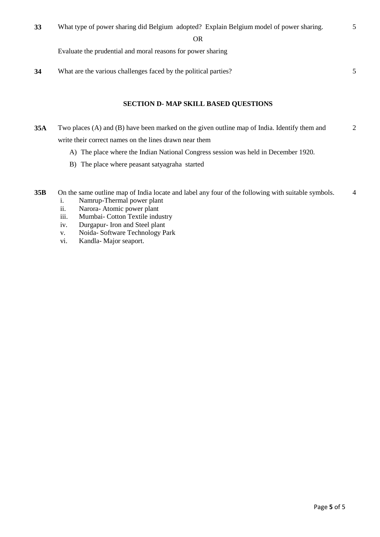OR

Evaluate the prudential and moral reasons for power sharing

**34** What are the various challenges faced by the political parties? 5

5

# **SECTION D- MAP SKILL BASED QUESTIONS**

- **35A** Two places (A) and (B) have been marked on the given outline map of India. Identify them and write their correct names on the lines drawn near them 2
	- A) The place where the Indian National Congress session was held in December 1920.
	- B) The place where peasant satyagraha started
- **35B** On the same outline map of India locate and label any four of the following with suitable symbols. 4
	- i. Namrup-Thermal power plant
	- ii. Narora- Atomic power plant
	- iii. Mumbai- Cotton Textile industry
	- iv. Durgapur- Iron and Steel plant
	- v. Noida- Software Technology Park
	- vi. Kandla- Major seaport.